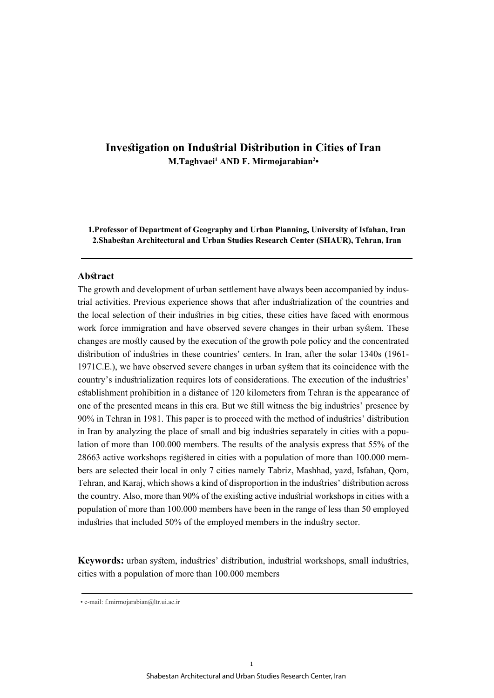# **Investigation on Industrial Distribution in Cities of Iran M.Taghvaei<sup>1</sup> AND F. Mirmojarabian<sup>2</sup> •**

**1.Professor of Department of Geography and Urban Planning, University of Isfahan, Iran 2.Shabestan Architectural and Urban Studies Research Center (SHAUR), Tehran, Iran**

# **Abstract**

The growth and development of urban settlement have always been accompanied by industrial activities. Previous experience shows that after industrialization of the countries and the local selection of their industries in big cities, these cities have faced with enormous work force immigration and have observed severe changes in their urban system. These changes are mostly caused by the execution of the growth pole policy and the concentrated distribution of industries in these countries' centers. In Iran, after the solar 1340s (1961- 1971C.E.), we have observed severe changes in urban system that its coincidence with the country's industrialization requires lots of considerations. The execution of the industries' establishment prohibition in a distance of 120 kilometers from Tehran is the appearance of one of the presented means in this era. But we still witness the big industries' presence by 90% in Tehran in 1981. This paper is to proceed with the method of industries' distribution in Iran by analyzing the place of small and big industries separately in cities with a population of more than 100.000 members. The results of the analysis express that 55% of the 28663 active workshops registered in cities with a population of more than 100.000 members are selected their local in only 7 cities namely Tabriz, Mashhad, yazd, Isfahan, Qom, Tehran, and Karaj, which shows a kind of disproportion in the industries' distribution across the country. Also, more than 90% of the existing active industrial workshops in cities with a population of more than 100.000 members have been in the range of less than 50 employed industries that included 50% of the employed members in the industry sector.

**Keywords:** urban system, industries' distribution, industrial workshops, small industries, cities with a population of more than 100.000 members

<sup>•</sup> e-mail: f.mirmojarabian@ltr.ui.ac.ir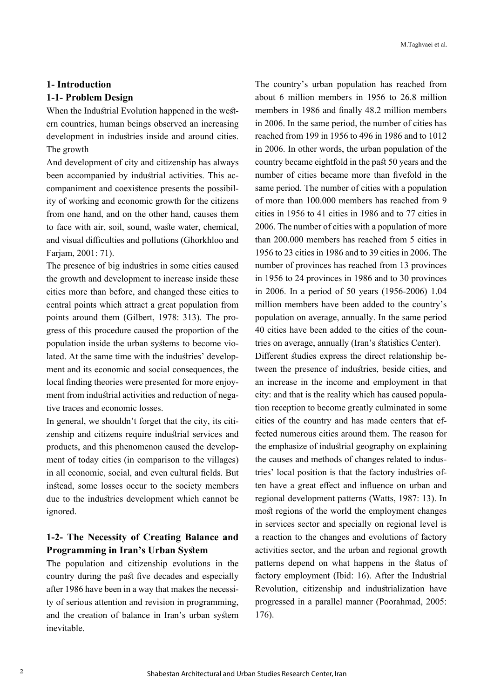# **1- Introduction 1-1- Problem Design**

When the Industrial Evolution happened in the western countries, human beings observed an increasing development in industries inside and around cities. The growth

And development of city and citizenship has always been accompanied by industrial activities. This accompaniment and coexistence presents the possibility of working and economic growth for the citizens from one hand, and on the other hand, causes them to face with air, soil, sound, waste water, chemical, and visual difficulties and pollutions (Ghorkhloo and Farjam, 2001: 71).

The presence of big industries in some cities caused the growth and development to increase inside these cities more than before, and changed these cities to central points which attract a great population from points around them (Gilbert, 1978: 313). The progress of this procedure caused the proportion of the population inside the urban systems to become violated. At the same time with the industries' development and its economic and social consequences, the local finding theories were presented for more enjoyment from industrial activities and reduction of negative traces and economic losses.

In general, we shouldn't forget that the city, its citizenship and citizens require industrial services and products, and this phenomenon caused the development of today cities (in comparison to the villages) in all economic, social, and even cultural fields. But instead, some losses occur to the society members due to the industries development which cannot be ignored.

# **1-2- The Necessity of Creating Balance and Programming in Iran's Urban System**

The population and citizenship evolutions in the country during the past five decades and especially after 1986 have been in a way that makes the necessity of serious attention and revision in programming, and the creation of balance in Iran's urban system inevitable.

The country's urban population has reached from about 6 million members in 1956 to 26.8 million members in 1986 and finally 48.2 million members in 2006. In the same period, the number of cities has reached from 199 in 1956 to 496 in 1986 and to 1012 in 2006. In other words, the urban population of the country became eightfold in the past 50 years and the number of cities became more than fivefold in the same period. The number of cities with a population of more than 100.000 members has reached from 9 cities in 1956 to 41 cities in 1986 and to 77 cities in 2006. The number of cities with a population of more than 200.000 members has reached from 5 cities in 1956 to 23 cities in 1986 and to 39 cities in 2006. The number of provinces has reached from 13 provinces in 1956 to 24 provinces in 1986 and to 30 provinces in 2006. In a period of 50 years (1956-2006) 1.04 million members have been added to the country's population on average, annually. In the same period 40 cities have been added to the cities of the countries on average, annually (Iran's statistics Center).

Different studies express the direct relationship between the presence of industries, beside cities, and an increase in the income and employment in that city: and that is the reality which has caused population reception to become greatly culminated in some cities of the country and has made centers that effected numerous cities around them. The reason for the emphasize of industrial geography on explaining the causes and methods of changes related to industries' local position is that the factory industries often have a great effect and influence on urban and regional development patterns (Watts, 1987: 13). In most regions of the world the employment changes in services sector and specially on regional level is a reaction to the changes and evolutions of factory activities sector, and the urban and regional growth patterns depend on what happens in the status of factory employment (Ibid: 16). After the Industrial Revolution, citizenship and industrialization have progressed in a parallel manner (Poorahmad, 2005: 176).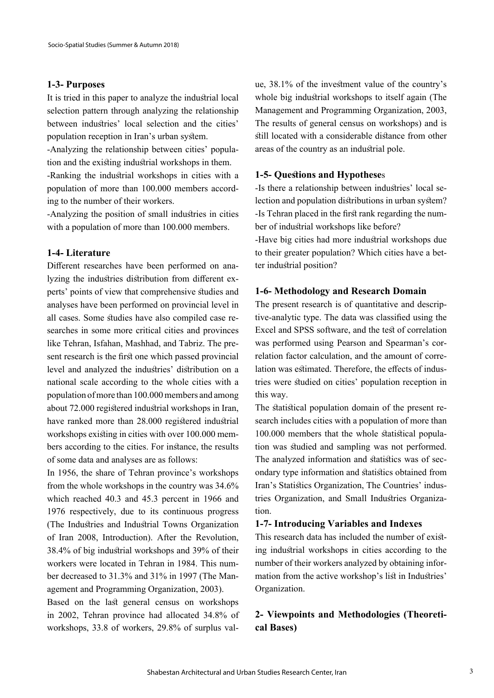#### **1-3- Purposes**

It is tried in this paper to analyze the industrial local selection pattern through analyzing the relationship between industries' local selection and the cities' population reception in Iran's urban system.

-Analyzing the relationship between cities' population and the existing industrial workshops in them.

-Ranking the industrial workshops in cities with a population of more than 100.000 members according to the number of their workers.

-Analyzing the position of small industries in cities with a population of more than 100.000 members.

# **1-4- Literature**

Different researches have been performed on analyzing the industries distribution from different experts' points of view that comprehensive studies and analyses have been performed on provincial level in all cases. Some studies have also compiled case researches in some more critical cities and provinces like Tehran, Isfahan, Mashhad, and Tabriz. The present research is the first one which passed provincial level and analyzed the industries' distribution on a national scale according to the whole cities with a population of more than 100.000 members and among about 72.000 registered industrial workshops in Iran, have ranked more than 28.000 registered industrial workshops existing in cities with over 100.000 members according to the cities. For instance, the results of some data and analyses are as follows:

In 1956, the share of Tehran province's workshops from the whole workshops in the country was 34.6% which reached 40.3 and 45.3 percent in 1966 and 1976 respectively, due to its continuous progress (The Industries and Industrial Towns Organization of Iran 2008, Introduction). After the Revolution, 38.4% of big industrial workshops and 39% of their workers were located in Tehran in 1984. This number decreased to 31.3% and 31% in 1997 (The Management and Programming Organization, 2003).

Based on the last general census on workshops in 2002, Tehran province had allocated 34.8% of workshops, 33.8 of workers, 29.8% of surplus value, 38.1% of the investment value of the country's whole big industrial workshops to itself again (The Management and Programming Organization, 2003, The results of general census on workshops) and is still located with a considerable distance from other areas of the country as an industrial pole.

#### **1-5- Questions and Hypothese**s

-Is there a relationship between industries' local selection and population distributions in urban system? -Is Tehran placed in the first rank regarding the number of industrial workshops like before?

-Have big cities had more industrial workshops due to their greater population? Which cities have a better industrial position?

### **1-6- Methodology and Research Domain**

The present research is of quantitative and descriptive-analytic type. The data was classified using the Excel and SPSS software, and the test of correlation was performed using Pearson and Spearman's correlation factor calculation, and the amount of correlation was estimated. Therefore, the effects of industries were studied on cities' population reception in this way.

The statistical population domain of the present research includes cities with a population of more than 100.000 members that the whole statistical population was studied and sampling was not performed. The analyzed information and statistics was of secondary type information and statistics obtained from Iran's Statistics Organization, The Countries' industries Organization, and Small Industries Organization.

# **1-7- Introducing Variables and Indexes**

This research data has included the number of existing industrial workshops in cities according to the number of their workers analyzed by obtaining information from the active workshop's list in Industries' Organization.

# **2- Viewpoints and Methodologies (Theoretical Bases)**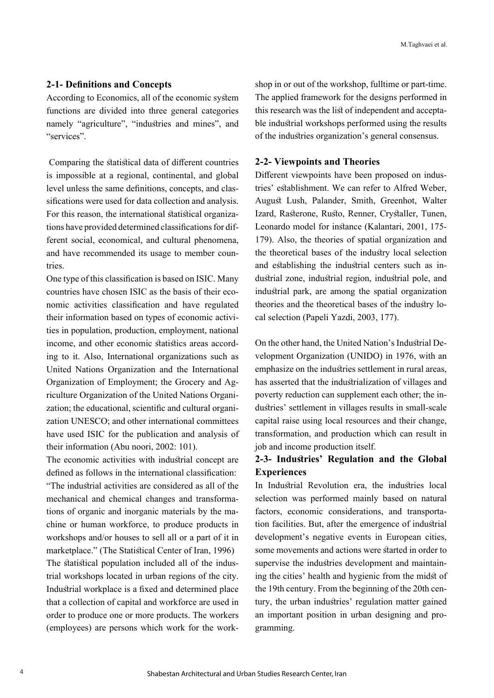#### **2-1- Definitions and Concepts**

According to Economics, all of the economic system functions are divided into three general categories namely "agriculture", "industries and mines", and "services".

 Comparing the statistical data of different countries is impossible at a regional, continental, and global level unless the same definitions, concepts, and classifications were used for data collection and analysis. For this reason, the international statistical organizations have provided determined classifications for different social, economical, and cultural phenomena, and have recommended its usage to member countries.

One type of this classification is based on ISIC. Many countries have chosen ISIC as the basis of their economic activities classification and have regulated their information based on types of economic activities in population, production, employment, national income, and other economic statistics areas according to it. Also, International organizations such as United Nations Organization and the International Organization of Employment; the Grocery and Agriculture Organization of the United Nations Organization; the educational, scientific and cultural organization UNESCO; and other international committees have used ISIC for the publication and analysis of their information (Abu noori, 2002: 101).

The economic activities with industrial concept are defined as follows in the international classification: "The industrial activities are considered as all of the mechanical and chemical changes and transformations of organic and inorganic materials by the machine or human workforce, to produce products in workshops and/or houses to sell all or a part of it in marketplace." (The Statistical Center of Iran, 1996) The statistical population included all of the industrial workshops located in urban regions of the city. Industrial workplace is a fixed and determined place that a collection of capital and workforce are used in order to produce one or more products. The workers (employees) are persons which work for the workshop in or out of the workshop, fulltime or part-time. The applied framework for the designs performed in this research was the list of independent and acceptable industrial workshops performed using the results of the industries organization's general consensus.

#### **2-2- Viewpoints and Theories**

Different viewpoints have been proposed on industries' establishment. We can refer to Alfred Weber, August Lush, Palander, Smith, Greenhot, Walter Izard, Rasterone, Rusto, Renner, Crystaller, Tunen, Leonardo model for instance (Kalantari, 2001, 175- 179). Also, the theories of spatial organization and the theoretical bases of the industry local selection and establishing the industrial centers such as industrial zone, industrial region, industrial pole, and industrial park, are among the spatial organization theories and the theoretical bases of the industry local selection (Papeli Yazdi, 2003, 177).

On the other hand, the United Nation's Industrial Development Organization (UNIDO) in 1976, with an emphasize on the industries settlement in rural areas, has asserted that the industrialization of villages and poverty reduction can supplement each other; the industries' settlement in villages results in small-scale capital raise using local resources and their change, transformation, and production which can result in job and income production itself.

# **2-3- Industries' Regulation and the Global Experiences**

In Industrial Revolution era, the industries local selection was performed mainly based on natural factors, economic considerations, and transportation facilities. But, after the emergence of industrial development's negative events in European cities, some movements and actions were started in order to supervise the industries development and maintaining the cities' health and hygienic from the midst of the 19th century. From the beginning of the 20th century, the urban industries' regulation matter gained an important position in urban designing and programming.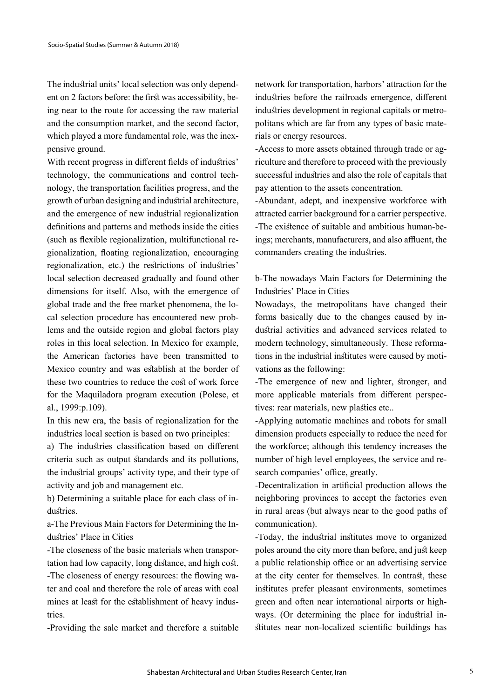The industrial units' local selection was only dependent on 2 factors before: the first was accessibility, being near to the route for accessing the raw material and the consumption market, and the second factor, which played a more fundamental role, was the inexpensive ground.

With recent progress in different fields of industries' technology, the communications and control technology, the transportation facilities progress, and the growth of urban designing and industrial architecture, and the emergence of new industrial regionalization definitions and patterns and methods inside the cities (such as flexible regionalization, multifunctional regionalization, floating regionalization, encouraging regionalization, etc.) the restrictions of industries' local selection decreased gradually and found other dimensions for itself. Also, with the emergence of global trade and the free market phenomena, the local selection procedure has encountered new problems and the outside region and global factors play roles in this local selection. In Mexico for example, the American factories have been transmitted to Mexico country and was establish at the border of these two countries to reduce the cost of work force for the Maquiladora program execution (Polese, et al., 1999:p.109).

In this new era, the basis of regionalization for the industries local section is based on two principles:

a) The industries classification based on different criteria such as output standards and its pollutions, the industrial groups' activity type, and their type of activity and job and management etc.

b) Determining a suitable place for each class of industries.

a-The Previous Main Factors for Determining the Industries' Place in Cities

-The closeness of the basic materials when transportation had low capacity, long distance, and high cost. -The closeness of energy resources: the flowing water and coal and therefore the role of areas with coal mines at least for the establishment of heavy industries.

-Providing the sale market and therefore a suitable

network for transportation, harbors' attraction for the industries before the railroads emergence, different industries development in regional capitals or metropolitans which are far from any types of basic materials or energy resources.

-Access to more assets obtained through trade or agriculture and therefore to proceed with the previously successful industries and also the role of capitals that pay attention to the assets concentration.

-Abundant, adept, and inexpensive workforce with attracted carrier background for a carrier perspective. -The existence of suitable and ambitious human-beings; merchants, manufacturers, and also affluent, the commanders creating the industries.

b-The nowadays Main Factors for Determining the Industries' Place in Cities

Nowadays, the metropolitans have changed their forms basically due to the changes caused by industrial activities and advanced services related to modern technology, simultaneously. These reformations in the industrial institutes were caused by motivations as the following:

-The emergence of new and lighter, stronger, and more applicable materials from different perspectives: rear materials, new plastics etc..

-Applying automatic machines and robots for small dimension products especially to reduce the need for the workforce; although this tendency increases the number of high level employees, the service and research companies' office, greatly.

-Decentralization in artificial production allows the neighboring provinces to accept the factories even in rural areas (but always near to the good paths of communication).

-Today, the industrial institutes move to organized poles around the city more than before, and just keep a public relationship office or an advertising service at the city center for themselves. In contrast, these institutes prefer pleasant environments, sometimes green and often near international airports or highways. (Or determining the place for industrial institutes near non-localized scientific buildings has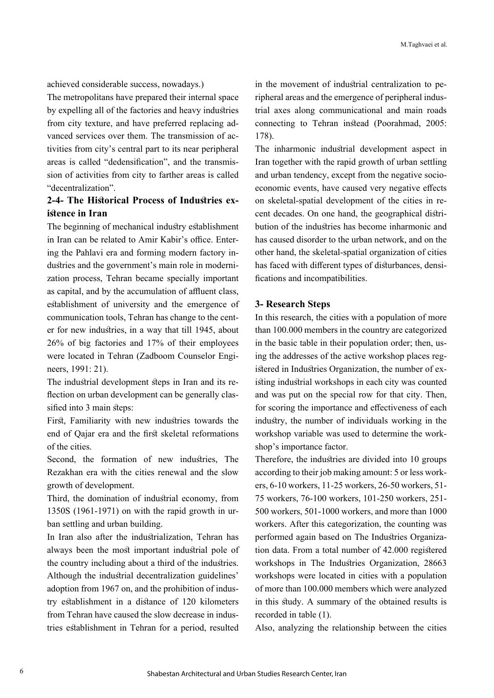achieved considerable success, nowadays.)

The metropolitans have prepared their internal space by expelling all of the factories and heavy industries from city texture, and have preferred replacing advanced services over them. The transmission of activities from city's central part to its near peripheral areas is called "dedensification", and the transmission of activities from city to farther areas is called "decentralization".

# **2-4- The Historical Process of Industries existence in Iran**

The beginning of mechanical industry establishment in Iran can be related to Amir Kabir's office. Entering the Pahlavi era and forming modern factory industries and the government's main role in modernization process, Tehran became specially important as capital, and by the accumulation of affluent class, establishment of university and the emergence of communication tools, Tehran has change to the center for new industries, in a way that till 1945, about 26% of big factories and 17% of their employees were located in Tehran (Zadboom Counselor Engineers, 1991: 21).

The industrial development steps in Iran and its reflection on urban development can be generally classified into 3 main steps:

First, Familiarity with new industries towards the end of Qajar era and the first skeletal reformations of the cities.

Second, the formation of new industries, The Rezakhan era with the cities renewal and the slow growth of development.

Third, the domination of industrial economy, from 1350S (1961-1971) on with the rapid growth in urban settling and urban building.

In Iran also after the industrialization, Tehran has always been the most important industrial pole of the country including about a third of the industries. Although the industrial decentralization guidelines' adoption from 1967 on, and the prohibition of industry establishment in a distance of 120 kilometers from Tehran have caused the slow decrease in industries establishment in Tehran for a period, resulted

in the movement of industrial centralization to peripheral areas and the emergence of peripheral industrial axes along communicational and main roads connecting to Tehran instead (Poorahmad, 2005: 178).

The inharmonic industrial development aspect in Iran together with the rapid growth of urban settling and urban tendency, except from the negative socioeconomic events, have caused very negative effects on skeletal-spatial development of the cities in recent decades. On one hand, the geographical distribution of the industries has become inharmonic and has caused disorder to the urban network, and on the other hand, the skeletal-spatial organization of cities has faced with different types of disturbances, densifications and incompatibilities.

### **3- Research Steps**

In this research, the cities with a population of more than 100.000 members in the country are categorized in the basic table in their population order; then, using the addresses of the active workshop places registered in Industries Organization, the number of existing industrial workshops in each city was counted and was put on the special row for that city. Then, for scoring the importance and effectiveness of each industry, the number of individuals working in the workshop variable was used to determine the workshop's importance factor.

Therefore, the industries are divided into 10 groups according to their job making amount: 5 or less workers, 6-10 workers, 11-25 workers, 26-50 workers, 51- 75 workers, 76-100 workers, 101-250 workers, 251- 500 workers, 501-1000 workers, and more than 1000 workers. After this categorization, the counting was performed again based on The Industries Organization data. From a total number of 42.000 registered workshops in The Industries Organization, 28663 workshops were located in cities with a population of more than 100.000 members which were analyzed in this study. A summary of the obtained results is recorded in table (1).

Also, analyzing the relationship between the cities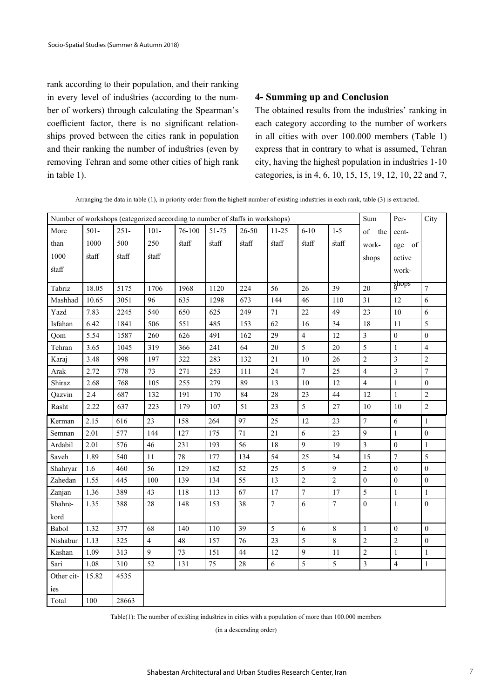rank according to their population, and their ranking in every level of industries (according to the number of workers) through calculating the Spearman's coefficient factor, there is no significant relationships proved between the cities rank in population and their ranking the number of industries (even by removing Tehran and some other cities of high rank in table 1).

### **4- Summing up and Conclusion**

The obtained results from the industries' ranking in each category according to the number of workers in all cities with over 100.000 members (Table 1) express that in contrary to what is assumed, Tehran city, having the highest population in industries 1-10 categories, is in 4, 6, 10, 15, 15, 19, 12, 10, 22 and 7,

Arranging the data in table (1), in priority order from the highest number of existing industries in each rank, table (3) is extracted.

| Number of workshops (categorized according to number of staffs in workshops) |                         |         |         |        |       |        | Sum            | Per-             | City           |                  |                  |                         |
|------------------------------------------------------------------------------|-------------------------|---------|---------|--------|-------|--------|----------------|------------------|----------------|------------------|------------------|-------------------------|
| More                                                                         | $501 -$                 | $251 -$ | $101 -$ | 76-100 | 51-75 | 26-50  | $11 - 25$      | $6 - 10$         | $1 - 5$        | of the           | cent-            |                         |
| than                                                                         | 1000                    | 500     | 250     | staff  | staff | staff  | staff          | staff            | staff          | work-            | age of           |                         |
| 1000                                                                         | $\operatorname*{staff}$ | staff   | staff   |        |       |        |                |                  |                | shops            | active           |                         |
| staff                                                                        |                         |         |         |        |       |        |                |                  |                |                  | work-            |                         |
|                                                                              |                         |         |         |        |       |        |                |                  |                |                  | ghops            |                         |
| Tabriz                                                                       | 18.05                   | 5175    | 1706    | 1968   | 1120  | 224    | 56             | 26               | 39             | 20               |                  | $\overline{7}$          |
| Mashhad                                                                      | 10.65                   | 3051    | 96      | 635    | 1298  | 673    | 144            | 46               | 110            | 31               | 12               | 6                       |
| Yazd                                                                         | 7.83                    | 2245    | 540     | 650    | 625   | 249    | 71             | 22               | 49             | 23               | $10\,$           | 6                       |
| Isfahan                                                                      | 6.42                    | 1841    | 506     | 551    | 485   | 153    | 62             | 16               | 34             | 18               | 11               | 5                       |
| Qom                                                                          | 5.54                    | 1587    | 260     | 626    | 491   | 162    | 29             | $\overline{4}$   | 12             | $\mathfrak{Z}$   | $\boldsymbol{0}$ | $\overline{0}$          |
| Tehran                                                                       | 3.65                    | 1045    | 319     | 366    | 241   | 64     | $20\,$         | 5                | $20\,$         | 5                | $\,1$            | $\overline{\mathbf{4}}$ |
| Karaj                                                                        | 3.48                    | 998     | 197     | 322    | 283   | 132    | 21             | 10               | 26             | $\overline{2}$   | $\overline{3}$   | $\overline{2}$          |
| Arak                                                                         | 2.72                    | 778     | $73\,$  | 271    | 253   | 111    | 24             | $\boldsymbol{7}$ | 25             | $\overline{4}$   | $\overline{3}$   | $\overline{7}$          |
| Shiraz                                                                       | 2.68                    | 768     | 105     | 255    | 279   | 89     | 13             | 10               | 12             | $\overline{4}$   | $\,1$            | $\overline{0}$          |
| Qazvin                                                                       | $2.4\,$                 | 687     | 132     | 191    | 170   | 84     | $28\,$         | 23               | 44             | 12               | $\mathbf{1}$     | $\overline{c}$          |
| Rasht                                                                        | 2.22                    | 637     | 223     | 179    | 107   | 51     | 23             | 5                | 27             | $10\,$           | 10               | $\overline{c}$          |
| Kerman                                                                       | 2.15                    | 616     | 23      | 158    | 264   | 97     | 25             | 12               | 23             | $\tau$           | 6                | 1                       |
| Semnan                                                                       | 2.01                    | 577     | 144     | 127    | 175   | $71\,$ | $21\,$         | 6                | 23             | $\mathbf{Q}$     | $\mathbf{1}$     | $\overline{0}$          |
| Ardabil                                                                      | 2.01                    | 576     | 46      | 231    | 193   | 56     | 18             | 9                | 19             | 3                | $\boldsymbol{0}$ | $\mathbf{1}$            |
| Saveh                                                                        | 1.89                    | 540     | 11      | 78     | 177   | 134    | 54             | 25               | 34             | 15               | $\boldsymbol{7}$ | 5                       |
| Shahryar                                                                     | 1.6                     | 460     | 56      | 129    | 182   | 52     | 25             | 5                | 9              | $\sqrt{2}$       | $\mathbf{0}$     | $\overline{0}$          |
| Zahedan                                                                      | 1.55                    | 445     | 100     | 139    | 134   | 55     | 13             | $\overline{2}$   | $\overline{2}$ | $\mathbf{0}$     | $\mathbf{0}$     | $\theta$                |
| Zanjan                                                                       | 1.36                    | 389     | 43      | 118    | 113   | 67     | 17             | $\overline{7}$   | 17             | 5                | $\mathbf{1}$     | $\mathbf{1}$            |
| Shahre-                                                                      | 1.35                    | 388     | 28      | 148    | 153   | 38     | $\overline{7}$ | 6                | $\overline{7}$ | $\mathbf{0}$     | $\,1$            | $\theta$                |
| kord                                                                         |                         |         |         |        |       |        |                |                  |                |                  |                  |                         |
| Babol                                                                        | 1.32                    | 377     | 68      | 140    | 110   | 39     | 5              | 6                | 8              | $\mathbf{1}$     | $\mathbf{0}$     | $\theta$                |
| Nishabur                                                                     | 1.13                    | 325     | 4       | 48     | 157   | 76     | 23             | 5                | $\,8\,$        | $\boldsymbol{2}$ | $\overline{c}$   | $\mathbf{0}$            |
| Kashan                                                                       | 1.09                    | 313     | 9       | 73     | 151   | 44     | 12             | $\overline{9}$   | 11             | $\sqrt{2}$       | $\,1$            | $\mathbf{1}$            |
| Sari                                                                         | 1.08                    | 310     | 52      | 131    | 75    | 28     | 6              | 5                | 5              | $\mathfrak{Z}$   | $\overline{4}$   | $\mathbf{1}$            |
| Other cit-                                                                   | 15.82                   | 4535    |         |        |       |        |                |                  |                |                  |                  |                         |
| ies                                                                          |                         |         |         |        |       |        |                |                  |                |                  |                  |                         |
| Total                                                                        | 100                     | 28663   |         |        |       |        |                |                  |                |                  |                  |                         |

Table(1): The number of existing industries in cities with a population of more than 100.000 members

(in a descending order)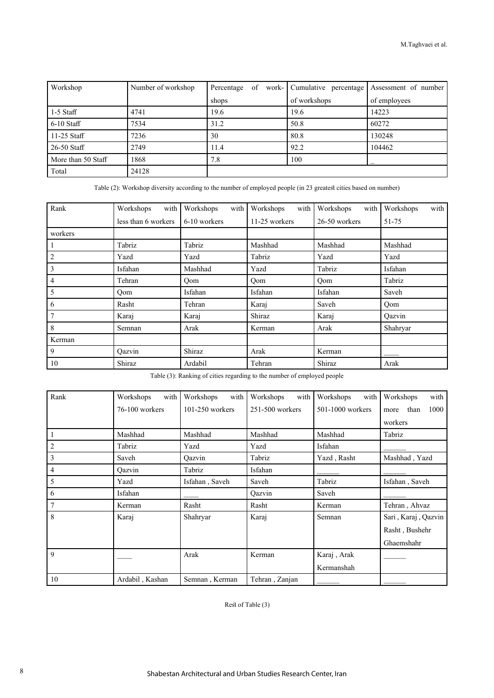| Workshop           | Number of workshop | of<br>Percentage | work- Cumulative percentage | Assessment of number |
|--------------------|--------------------|------------------|-----------------------------|----------------------|
|                    |                    | shops            | of workshops                | of employees         |
| 1-5 Staff          | 4741               | 19.6             | 19.6                        | 14223                |
| $6-10$ Staff       | 7534               | 31.2             | 50.8                        | 60272                |
| $11-25$ Staff      | 7236               | 30               | 80.8                        | 130248               |
| 26-50 Staff        | 2749               | 11.4             | 92.2                        | 104462               |
| More than 50 Staff | 1868               | 7.8              | 100                         |                      |
| Total              | 24128              |                  |                             |                      |

Table (2): Workshop diversity according to the number of employed people (in 23 greatest cities based on number)

| Rank           | with<br>Workshops   | with<br>Workshops | with<br>Workshops | with<br>Workshops | with<br>Workshops |  |
|----------------|---------------------|-------------------|-------------------|-------------------|-------------------|--|
|                | less than 6 workers | 6-10 workers      | 11-25 workers     | 26-50 workers     | 51-75             |  |
| workers        |                     |                   |                   |                   |                   |  |
|                | Tabriz              | Tabriz            | Mashhad           | Mashhad           | Mashhad           |  |
| $\mathfrak{2}$ | Yazd                | Yazd              | Tabriz            | Yazd              | Yazd              |  |
| 3              | Isfahan             | Mashhad           | Yazd              | Tabriz            | Isfahan           |  |
| 4              | Tehran              | Qom               | Qom               | Qom               | Tabriz            |  |
| 5              | Oom                 | Isfahan           | Isfahan           | Isfahan           | Saveh             |  |
| 6              | Rasht               | Tehran            | Karaj             | Saveh             | Oom               |  |
| $\overline{7}$ | Karaj               | Karaj             | Shiraz            | Karaj             | Qazvin            |  |
| 8              | Semnan              | Arak              | Kerman            | Arak              | Shahryar          |  |
| Kerman         |                     |                   |                   |                   |                   |  |
| 9              | Oazvin              | Shiraz            | Arak              | Kerman            |                   |  |
| 10             | Shiraz              | Ardabil           | Tehran            | Shiraz            | Arak              |  |

Table (3): Ranking of cities regarding to the number of employed people

| Rank             | Workshops<br>with | with<br>Workshops | with<br>Workshops | with<br>Workshops | with<br>Workshops    |
|------------------|-------------------|-------------------|-------------------|-------------------|----------------------|
|                  | 76-100 workers    | $101-250$ workers | 251-500 workers   | 501-1000 workers  | 1000<br>than<br>more |
|                  |                   |                   |                   |                   | workers              |
| $\mathbf{1}$     | Mashhad           | Mashhad           | Mashhad           | Mashhad           | Tabriz               |
| $\sqrt{2}$       | Tabriz            | Yazd              | Yazd              | Isfahan           |                      |
| $\mathfrak{Z}$   | Saveh             | Qazvin            | Tabriz            | Yazd, Rasht       | Mashhad, Yazd        |
| $\overline{4}$   | Qazvin            | Tabriz            | Isfahan           |                   |                      |
| $\mathfrak s$    | Yazd              | Isfahan, Saveh    | Saveh             | Tabriz            | Isfahan, Saveh       |
| 6                | Isfahan           |                   | Oazvin            | Saveh             |                      |
| $\boldsymbol{7}$ | Kerman            | Rasht             | Rasht             | Kerman            | Tehran, Ahvaz        |
| 8                | Karaj             | Shahryar          | Karaj             | Semnan            | Sari, Karaj, Qazvin  |
|                  |                   |                   |                   |                   | Rasht, Bushehr       |
|                  |                   |                   |                   |                   | Ghaemshahr           |
| $\mathbf{Q}$     |                   | Arak              | Kerman            | Karaj, Arak       |                      |
|                  |                   |                   |                   | Kermanshah        |                      |
| 10               | Ardabil, Kashan   | Semnan, Kerman    | Tehran, Zanjan    |                   |                      |

Rest of Table (3)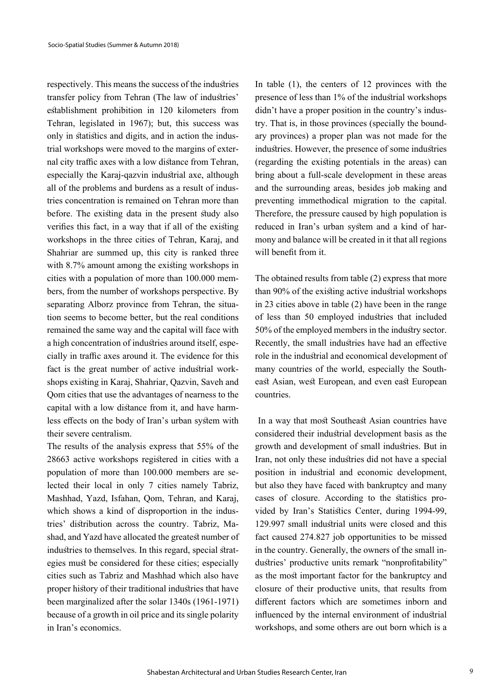respectively. This means the success of the industries transfer policy from Tehran (The law of industries' establishment prohibition in 120 kilometers from Tehran, legislated in 1967); but, this success was only in statistics and digits, and in action the industrial workshops were moved to the margins of external city traffic axes with a low distance from Tehran, especially the Karaj-qazvin industrial axe, although all of the problems and burdens as a result of industries concentration is remained on Tehran more than before. The existing data in the present study also verifies this fact, in a way that if all of the existing workshops in the three cities of Tehran, Karaj, and Shahriar are summed up, this city is ranked three with 8.7% amount among the existing workshops in cities with a population of more than 100.000 members, from the number of workshops perspective. By separating Alborz province from Tehran, the situation seems to become better, but the real conditions remained the same way and the capital will face with a high concentration of industries around itself, especially in traffic axes around it. The evidence for this fact is the great number of active industrial workshops existing in Karaj, Shahriar, Qazvin, Saveh and Qom cities that use the advantages of nearness to the capital with a low distance from it, and have harmless effects on the body of Iran's urban system with their severe centralism.

The results of the analysis express that 55% of the 28663 active workshops registered in cities with a population of more than 100.000 members are selected their local in only 7 cities namely Tabriz, Mashhad, Yazd, Isfahan, Qom, Tehran, and Karaj, which shows a kind of disproportion in the industries' distribution across the country. Tabriz, Mashad, and Yazd have allocated the greatest number of industries to themselves. In this regard, special strategies must be considered for these cities; especially cities such as Tabriz and Mashhad which also have proper history of their traditional industries that have been marginalized after the solar 1340s (1961-1971) because of a growth in oil price and its single polarity in Iran's economics.

In table (1), the centers of 12 provinces with the presence of less than 1% of the industrial workshops didn't have a proper position in the country's industry. That is, in those provinces (specially the boundary provinces) a proper plan was not made for the industries. However, the presence of some industries (regarding the existing potentials in the areas) can bring about a full-scale development in these areas and the surrounding areas, besides job making and preventing immethodical migration to the capital. Therefore, the pressure caused by high population is reduced in Iran's urban system and a kind of harmony and balance will be created in it that all regions will benefit from it.

The obtained results from table (2) express that more than 90% of the existing active industrial workshops in 23 cities above in table (2) have been in the range of less than 50 employed industries that included 50% of the employed members in the industry sector. Recently, the small industries have had an effective role in the industrial and economical development of many countries of the world, especially the Southeast Asian, west European, and even east European countries.

 In a way that most Southeast Asian countries have considered their industrial development basis as the growth and development of small industries. But in Iran, not only these industries did not have a special position in industrial and economic development, but also they have faced with bankruptcy and many cases of closure. According to the statistics provided by Iran's Statistics Center, during 1994-99, 129.997 small industrial units were closed and this fact caused 274.827 job opportunities to be missed in the country. Generally, the owners of the small industries' productive units remark "nonprofitability" as the most important factor for the bankruptcy and closure of their productive units, that results from different factors which are sometimes inborn and influenced by the internal environment of industrial workshops, and some others are out born which is a